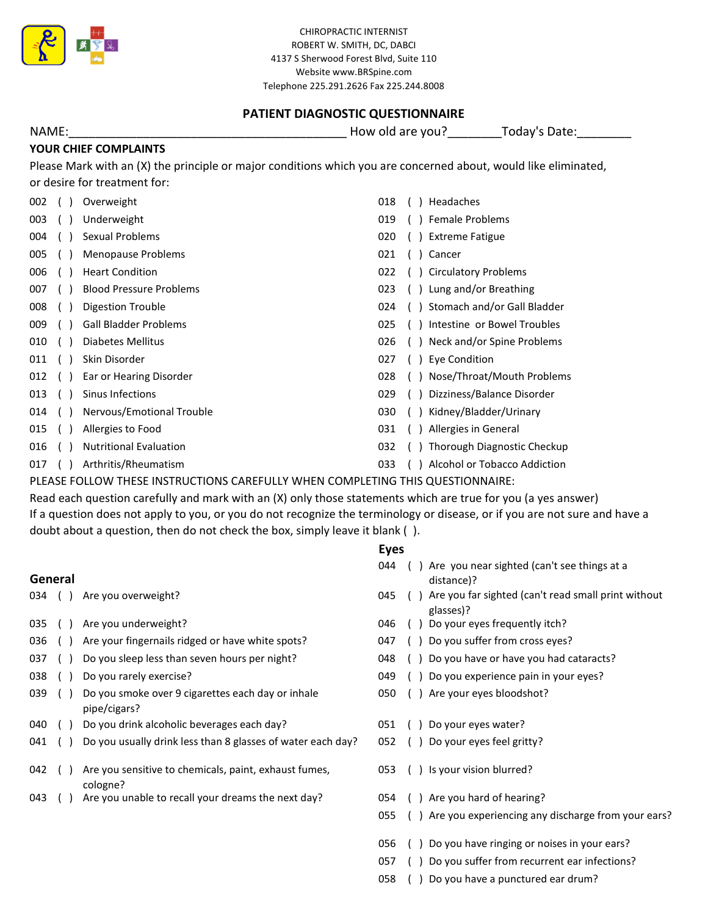

# PATIENT DIAGNOSTIC QUESTIONNAIRE

NAME: Today's Date: The Contract of the Mondum How old are you? The Today's Date:

# YOUR CHIEF COMPLAINTS

Please Mark with an (X) the principle or major conditions which you are concerned about, would like eliminated, or desire for treatment for:

| 002 | Overweight                     | 018 | Headaches                    |
|-----|--------------------------------|-----|------------------------------|
| 003 | Underweight                    | 019 | Female Problems              |
| 004 | Sexual Problems                | 020 | <b>Extreme Fatigue</b>       |
| 005 | <b>Menopause Problems</b>      | 021 | Cancer                       |
| 006 | <b>Heart Condition</b>         | 022 | <b>Circulatory Problems</b>  |
| 007 | <b>Blood Pressure Problems</b> | 023 | Lung and/or Breathing        |
| 008 | Digestion Trouble              | 024 | Stomach and/or Gall Bladder  |
| 009 | <b>Gall Bladder Problems</b>   | 025 | Intestine or Bowel Troubles  |
| 010 | Diabetes Mellitus              | 026 | Neck and/or Spine Problems   |
| 011 | Skin Disorder                  | 027 | <b>Eye Condition</b>         |
| 012 | Ear or Hearing Disorder        | 028 | Nose/Throat/Mouth Problems   |
| 013 | Sinus Infections               | 029 | Dizziness/Balance Disorder   |
| 014 | Nervous/Emotional Trouble      | 030 | Kidney/Bladder/Urinary       |
| 015 | Allergies to Food              | 031 | Allergies in General         |
| 016 | <b>Nutritional Evaluation</b>  | 032 | Thorough Diagnostic Checkup  |
| 017 | Arthritis/Rheumatism           | 033 | Alcohol or Tobacco Addiction |

PLEASE FOLLOW THESE INSTRUCTIONS CAREFULLY WHEN COMPLETING THIS QUESTIONNAIRE:

Read each question carefully and mark with an (X) only those statements which are true for you (a yes answer) If a question does not apply to you, or you do not recognize the terminology or disease, or if you are not sure and have a doubt about a question, then do not check the box, simply leave it blank ( ).

## Eyes

General 044 ( ) Are you near sighted (can't see things at a 034 ( ) Are you overweight? 035 ( ) Are you underweight? The state of the control of the VO46 ( ) Do your eyes frequently itch? 036 ( ) Are your fingernails ridged or have white spots? 047 ( ) Do you suffer from cross eyes? 037 () Do you sleep less than seven hours per night? 048 () Do you have or have you had cataracts? 038 ( ) Do you rarely exercise? 049 ( ) Do you experience pain in your eyes? 039 () Do you smoke over 9 cigarettes each day or inhale  $\qquad 050$  () Are your eyes bloodshot? 040 ( ) Do you drink alcoholic beverages each day? 051 ( ) Do your eyes water? 041 () Do you usually drink less than 8 glasses of water each day? 052 () Do your eyes feel gritty? 042 () Are you sensitive to chemicals, paint, exhaust fumes, 053 () Is your vision blurred? 043 () Are you unable to recall your dreams the next day? 054 () Are you hard of hearing? 055 ( ) Are you experiencing any discharge from your ears? 056 ( ) Do you have ringing or noises in your ears? 057 ( ) Do you suffer from recurrent ear infections? 058 () Do you have a punctured ear drum? cologne? 045 () Are you far sighted (can't read small print without glasses)? distance)? pipe/cigars?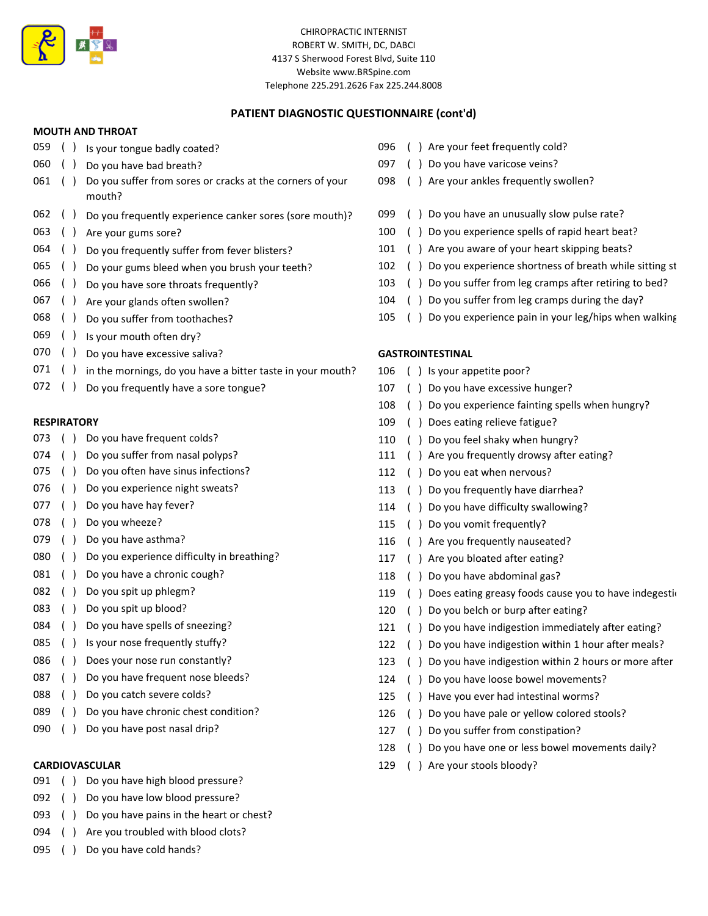

## PATIENT DIAGNOSTIC QUESTIONNAIRE (cont'd)

### MOUTH AND THROAT

- 059 ( ) Is your tongue badly coated? 059 ( ) Are your feet frequently cold? 060 ( ) Do you have bad breath? **097** ( ) Do you have varicose veins? 061 () Do you suffer from sores or cracks at the corners of your 098 () Are your ankles frequently swollen? 062 ( ) Do you frequently experience canker sores (sore mouth)? 099 ( ) Do you have an unusually slow pulse rate? 063 ( ) Are your gums sore? 100 ( ) Do you experience spells of rapid heart beat? 064 ( ) Do you frequently suffer from fever blisters? 101 ( ) Are you aware of your heart skipping beats? 065 ( ) Do your gums bleed when you brush your teeth? 102 ( ) Do you experience shortness of breath while sitting st 066 () Do you have sore throats frequently? 103 () Do you suffer from leg cramps after retiring to bed? 067 () Are your glands often swollen? 104 () Do you suffer from leg cramps during the day? mouth?
- 
- 069 () Is your mouth often dry?
- 070 ( ) Do you have excessive saliva? GASTROINTESTINAL
- 071 () in the mornings, do you have a bitter taste in your mouth? 106 () Is your appetite poor?
- 072 ( ) Do you frequently have a sore tongue? 107 ( ) Do you have excessive hunger?

- 073 () Do you have frequent colds? 110 () Do you feel shaky when hungry?
- 
- 075 ( ) Do you often have sinus infections? 112 ( ) Do you eat when nervous?
- 076 () Do you experience night sweats? 113 () Do you frequently have diarrhea?
- 
- 
- 
- 080 ( ) Do you experience difficulty in breathing? 117 ( ) Are you bloated after eating?
- 081 ( ) Do you have a chronic cough? 118 ( ) Do you have abdominal gas?
- 
- 
- 
- 
- 
- 
- 
- 089 ( ) Do you have chronic chest condition? 126 ( ) Do you have pale or yellow colored stools?
- 090 ( ) Do you have post nasal drip? 127 ( ) Do you suffer from constipation?

- 091 ( ) Do you have high blood pressure?
- 092 () Do you have low blood pressure?
- 093 ( ) Do you have pains in the heart or chest?
- 094 ( ) Are you troubled with blood clots?
- 095 ( ) Do you have cold hands?
- 
- 
- 
- 
- 
- 
- 
- 
- 
- 068 () Do you suffer from toothaches? 105 () Do you experience pain in your leg/hips when walking

- 
- 
- 108 ( ) Do you experience fainting spells when hungry?
- RESPIRATORY **109 (a)** Does eating relieve fatigue?
	-
- 074 ( ) Do you suffer from nasal polyps? 111 ( ) Are you frequently drowsy after eating?
	-
	-
- 077 ( ) Do you have hay fever? The same state of the state of the state of the state of the state of the state of the state of the state of the state of the state of the state of the state of the state of the state of the
- 078 ( ) Do you wheeze? 115 ( ) Do you vomit frequently?
- 079 ( ) Do you have asthma? 116 ( ) Are you frequently nauseated?
	-
	-
- 082 ( ) Do you spit up phlegm? 119 ( ) Does eating greasy foods cause you to have indegestic
- 083 ( ) Do you spit up blood? 120 ( ) Do you belch or burp after eating?
- 084 () Do you have spells of sneezing? 121 () Do you have indigestion immediately after eating?
- 085 () Is your nose frequently stuffy? 122 () Do you have indigestion within 1 hour after meals?
- 086 ( ) Does your nose run constantly? 123 ( ) Do you have indigestion within 2 hours or more after
- 087 ( ) Do you have frequent nose bleeds? 124 ( ) Do you have loose bowel movements?
- 088 ( ) Do you catch severe colds? 125 ( ) Have you ever had intestinal worms?
	-
	-
	- 128 ( ) Do you have one or less bowel movements daily?
- CARDIOVASCULAR 129 ( ) Are your stools bloody?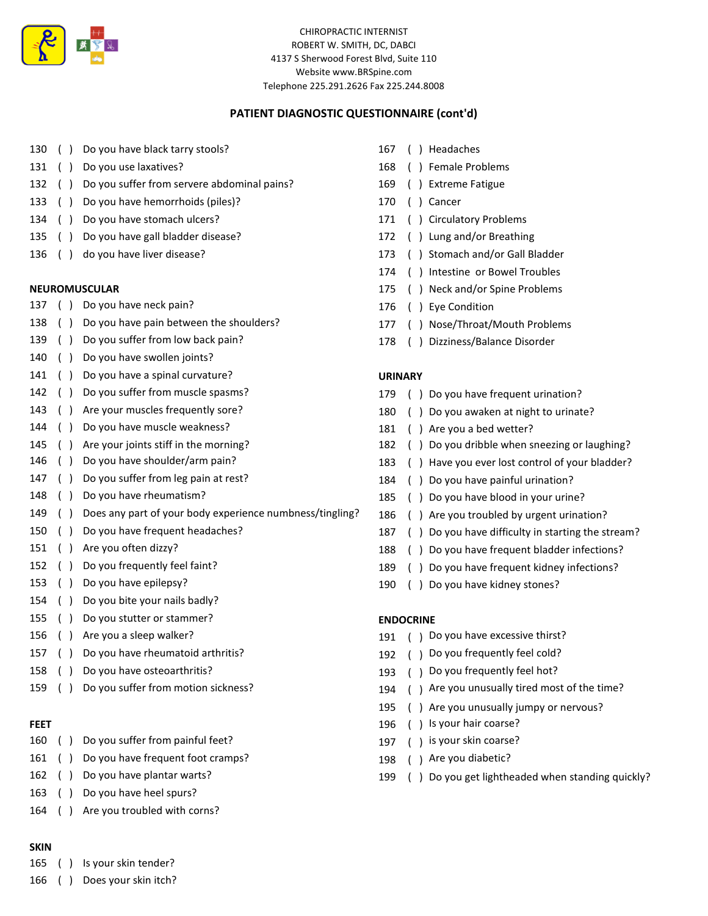

# PATIENT DIAGNOSTIC QUESTIONNAIRE (cont'd)

- 130 ( ) Do you have black tarry stools? 167 ( ) Headaches
- 131 ( ) Do you use laxatives? 168 ( ) Female Problems
- 132 ( ) Do you suffer from servere abdominal pains? 169 ( ) Extreme Fatigue
- 133 ( ) Do you have hemorrhoids (piles)? 170 ( ) Cancer
- 134 ( ) Do you have stomach ulcers? 171 ( ) Circulatory Problems
- 135 ( ) Do you have gall bladder disease? 172 ( ) Lung and/or Breathing
- 

- 137 ( ) Do you have neck pain? 176 ( ) Eye Condition
- 138 ( ) Do you have pain between the shoulders? 177 ( ) Nose/Throat/Mouth Problems
- 139 ( ) Do you suffer from low back pain? 178 ( ) Dizziness/Balance Disorder
- 140 ( ) Do you have swollen joints?
- 141 () Do you have a spinal curvature? URINARY
- 
- 143 () Are your muscles frequently sore? 180 () Do you awaken at night to urinate?
- 144 ( ) Do you have muscle weakness? 181 ( ) Are you a bed wetter?
- 
- 
- 147 ( ) Do you suffer from leg pain at rest? 184 ( ) Do you have painful urination?
- 
- 149 ( ) Does any part of your body experience numbness/tingling? 186 ( ) Are you troubled by urgent urination?
- 
- 
- 
- 
- 154 ( ) Do you bite your nails badly?
- 155 ( ) Do you stutter or stammer? ENDOCRINE
- 
- 157 () Do you have rheumatoid arthritis? 192 () Do you frequently feel cold?
- 158 ( ) Do you have osteoarthritis? 193 ( ) Do you frequently feel hot?
- 

- 160 ( ) Do you suffer from painful feet? 197 ( ) is your skin coarse?
- 161 ( ) Do you have frequent foot cramps? 198 ( ) Are you diabetic?
- 
- 163 ( ) Do you have heel spurs?
- 164 ( ) Are you troubled with corns?

## SKIN

- 165 ( ) Is your skin tender?
- 166 ( ) Does your skin itch?
- 
- 
- 
- 
- 
- 
- 136 ( ) do you have liver disease? 173 ( ) Stomach and/or Gall Bladder
	- 174 ( ) Intestine or Bowel Troubles
- NEUROMUSCULAR 175 ( ) Neck and/or Spine Problems
	-
	-
	-

- 142 ( ) Do you suffer from muscle spasms? 179 ( ) Do you have frequent urination?
	-
	-
- 145 ( ) Are your joints stiff in the morning? 182 ( ) Do you dribble when sneezing or laughing?
- 146 () Do you have shoulder/arm pain? 183 () Have you ever lost control of your bladder?
	-
- 148 ( ) Do you have rheumatism? 185 ( ) Do you have blood in your urine?
	-
- 150 () Do you have frequent headaches? 187 () Do you have difficulty in starting the stream?
- 151 ( ) Are you often dizzy? 188 ( ) Do you have frequent bladder infections?
- 152 ( ) Do you frequently feel faint? 189 ( ) Do you have frequent kidney infections?
- 153 ( ) Do you have epilepsy? The same state of the state of the you have kidney stones?

- 156 ( ) Are you a sleep walker? 191 ( ) Do you have excessive thirst?
	-
	-
- 159 ( ) Do you suffer from motion sickness? 194 ( ) Are you unusually tired most of the time?
	- 195 ( ) Are you unusually jumpy or nervous?
- **FEET** 196 ( ) Is your hair coarse?
	-
	-
- 162 ( ) Do you have plantar warts? 199 ( ) Do you get lightheaded when standing quickly?